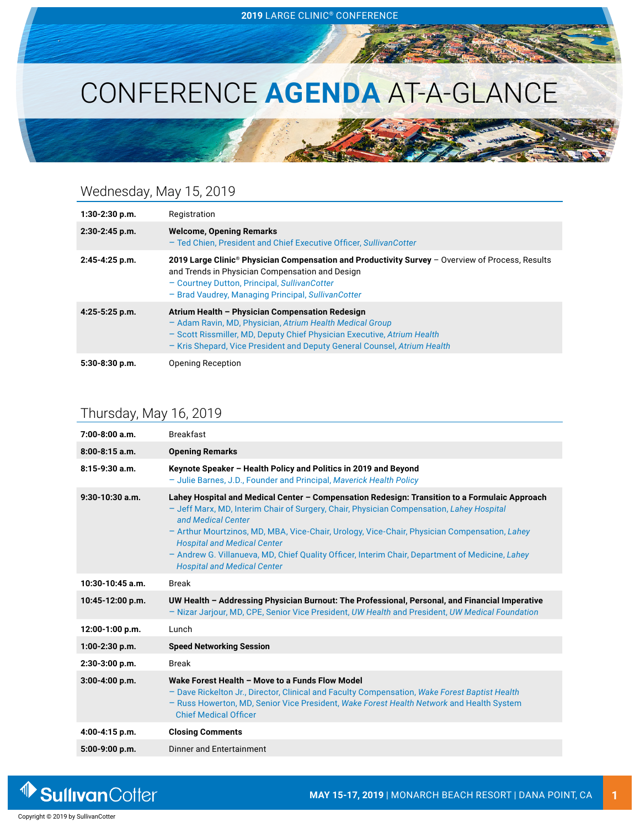# CONFERENCE **AGENDA** AT-A-GLANCE

## Wednesday, May 15, 2019

| $1:30-2:30$ p.m. | Registration                                                                                                                                                                                                                                                          |
|------------------|-----------------------------------------------------------------------------------------------------------------------------------------------------------------------------------------------------------------------------------------------------------------------|
| $2:30-2:45$ p.m. | <b>Welcome, Opening Remarks</b><br>- Ted Chien, President and Chief Executive Officer, Sullivan Cotter                                                                                                                                                                |
| $2:45-4:25$ p.m. | 2019 Large Clinic <sup>®</sup> Physician Compensation and Productivity Survey - Overview of Process, Results<br>and Trends in Physician Compensation and Design<br>- Courtney Dutton, Principal, SullivanCotter<br>- Brad Vaudrey, Managing Principal, SullivanCotter |
| $4:25-5:25$ p.m. | Atrium Health - Physician Compensation Redesign<br>- Adam Ravin, MD, Physician, Atrium Health Medical Group<br>- Scott Rissmiller, MD, Deputy Chief Physician Executive, Atrium Health<br>- Kris Shepard, Vice President and Deputy General Counsel, Atrium Health    |
| $5:30-8:30$ p.m. | Opening Reception                                                                                                                                                                                                                                                     |

#### Thursday, May 16, 2019

| $7:00-8:00$ a.m.   | <b>Breakfast</b>                                                                                                                                                                                                                                                                                                                                                                                                                                                                               |
|--------------------|------------------------------------------------------------------------------------------------------------------------------------------------------------------------------------------------------------------------------------------------------------------------------------------------------------------------------------------------------------------------------------------------------------------------------------------------------------------------------------------------|
| $8:00-8:15$ a.m.   | <b>Opening Remarks</b>                                                                                                                                                                                                                                                                                                                                                                                                                                                                         |
| $8:15-9:30$ a.m.   | Keynote Speaker - Health Policy and Politics in 2019 and Beyond<br>- Julie Barnes, J.D., Founder and Principal, Maverick Health Policy                                                                                                                                                                                                                                                                                                                                                         |
| $9:30-10:30$ a.m.  | Lahey Hospital and Medical Center - Compensation Redesign: Transition to a Formulaic Approach<br>- Jeff Marx, MD, Interim Chair of Surgery, Chair, Physician Compensation, Lahey Hospital<br>and Medical Center<br>- Arthur Mourtzinos, MD, MBA, Vice-Chair, Urology, Vice-Chair, Physician Compensation, Lahey<br><b>Hospital and Medical Center</b><br>- Andrew G. Villanueva, MD, Chief Quality Officer, Interim Chair, Department of Medicine, Lahey<br><b>Hospital and Medical Center</b> |
| $10:30-10:45$ a.m. | <b>Break</b>                                                                                                                                                                                                                                                                                                                                                                                                                                                                                   |
| 10:45-12:00 p.m.   | UW Health - Addressing Physician Burnout: The Professional, Personal, and Financial Imperative<br>- Nizar Jarjour, MD, CPE, Senior Vice President, UW Health and President, UW Medical Foundation                                                                                                                                                                                                                                                                                              |
| 12:00-1:00 p.m.    | Lunch                                                                                                                                                                                                                                                                                                                                                                                                                                                                                          |
| $1:00-2:30$ p.m.   | <b>Speed Networking Session</b>                                                                                                                                                                                                                                                                                                                                                                                                                                                                |
| $2:30-3:00$ p.m.   | <b>Break</b>                                                                                                                                                                                                                                                                                                                                                                                                                                                                                   |
| 3:00-4:00 p.m.     | Wake Forest Health - Move to a Funds Flow Model<br>- Dave Rickelton Jr., Director, Clinical and Faculty Compensation, Wake Forest Baptist Health<br>- Russ Howerton, MD, Senior Vice President, Wake Forest Health Network and Health System<br><b>Chief Medical Officer</b>                                                                                                                                                                                                                   |
| 4:00-4:15 p.m.     | <b>Closing Comments</b>                                                                                                                                                                                                                                                                                                                                                                                                                                                                        |
| 5:00-9:00 p.m.     | Dinner and Entertainment                                                                                                                                                                                                                                                                                                                                                                                                                                                                       |